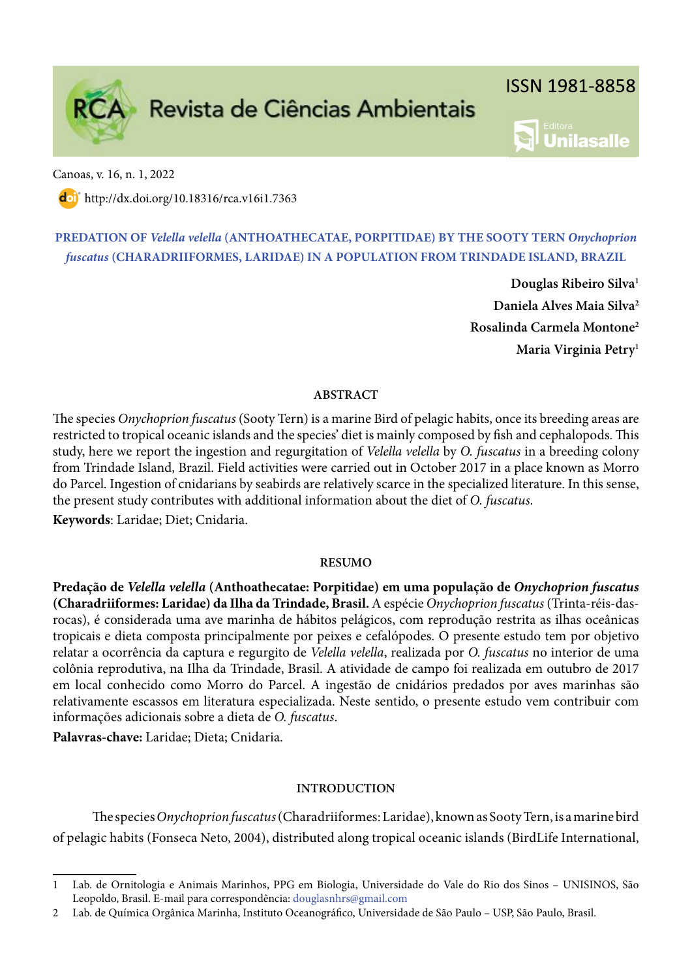

Canoas, v. 16, n. 1, 2022

dol http://dx.doi.org/10.18316/rca.v16i1.7363

# PREDATION OF Velella velella (ANTHOATHECATAE, PORPITIDAE) BY THE SOOTY TERN Onychoprion fuscatus ( CHARADRIIFORMES, LARIDAE) IN A POPULATION FROM TRINDADE ISLAND, BRAZIL

Douglas Ribeiro Silva<sup>1</sup> Daniela Alves Maia Silva<sup>2</sup> Rosalinda Carmela Montone<sup>2</sup> Maria Virginia Petry<sup>1</sup>

**Unilasalle** 

# ABSTRACT

The species Onychoprion fuscatus (Sooty Tern) is a marine Bird of pelagic habits, once its breeding areas are restricted to tropical oceanic islands and the species' diet is mainly composed by fish and cephalopods. This study, here we report the ingestion and regurgitation of Velella velella by O. fuscatus in a breeding colony from Trindade Island, Brazil. Field activities were carried out in October 2017 in a place known as Morro do Parcel. Ingestion of cnidarians by seabirds are relatively scarce in the specialized literature. In this sense, the present study contributes with additional information about the diet of O. fuscatus.

Keywords: Laridae; Diet; Cnidaria.

# RESUMO

Predação de Velella velella (Anthoathecatae: Porpitidae) em uma população de Onychoprion fuscatus (Charadriiformes: Laridae) da Ilha da Trindade, Brasil. A espécie Onychoprion fuscatus (Trinta-réis-dasrocas), é considerada uma ave marinha de hábitos pelágicos, com reprodução restrita as ilhas oceânicas tropicais e dieta composta principalmente por peixes e cefalópodes. O presente estudo tem por objetivo relatar a ocorrência da captura e regurgito de Velella velella, realizada por O. fuscatus no interior de uma colônia reprodutiva, na Ilha da Trindade, Brasil. A atividade de campo foi realizada em outubro de 2017 em local conhecido como Morro do Parcel. A ingestão de cnidários predados por aves marinhas são relativamente escassos em literatura especializada. Neste sentido, o presente estudo vem contribuir com informações adicionais sobre a dieta de O. fuscatus.

Palavras-chave: Laridae; Dieta; Cnidaria.

# INTRODUCTION

The species Onychoprion fuscatus (Charadriiformes: Laridae), known as Sooty Tern, is a marine bird of pelagic habits (Fonseca Neto, 2004), distributed along tropical oceanic islands (BirdLife International,

<sup>1</sup> Lab. de Ornitologia e Animais Marinhos, PPG em Biologia, Universidade do Vale do Rio dos Sinos – UNISINOS, São Leopoldo, Brasil. E-mail para correspondência: douglasnhrs@gmail.com

<sup>2</sup> Lab. de Química Orgânica Marinha, Instituto Oceanográfico, Universidade de São Paulo – USP, São Paulo, Brasil.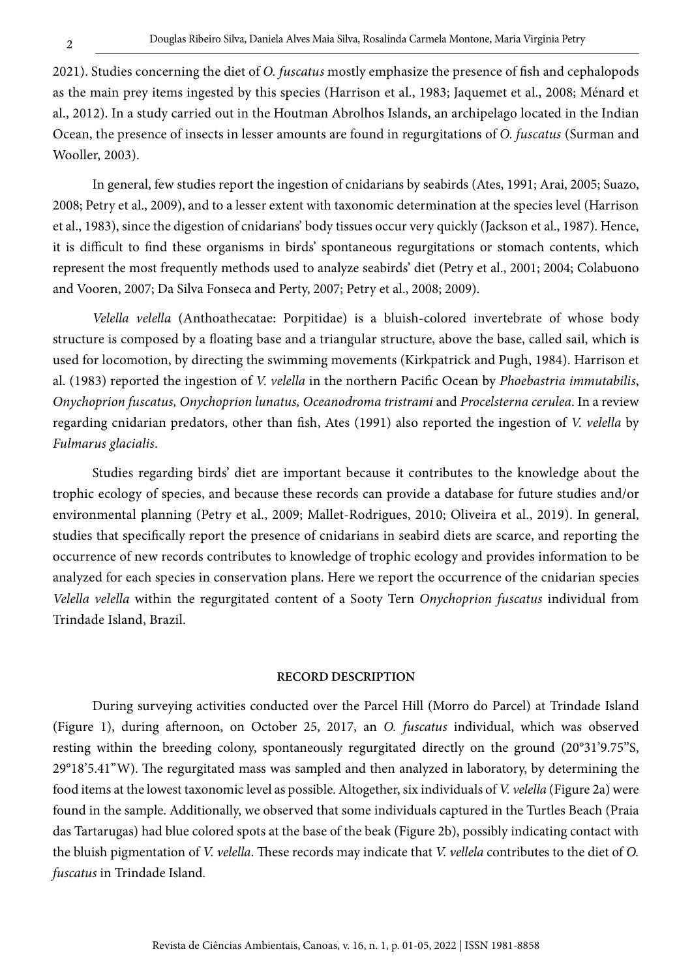2021). Studies concerning the diet of O. fuscatus mostly emphasize the presence of fish and cephalopods as the main prey items ingested by this species (Harrison et al., 1983; Jaquemet et al., 2008; Ménard et al., 2012). In a study carried out in the Houtman Abrolhos Islands, an archipelago located in the Indian Ocean, the presence of insects in lesser amounts are found in regurgitations of O. fuscatus (Surman and Wooller, 2003).

In general, few studies report the ingestion of cnidarians by seabirds (Ates, 1991; Arai, 2005; Suazo, 2008; Petry et al., 2009), and to a lesser extent with taxonomic determination at the species level (Harrison et al., 1983), since the digestion of cnidarians' body tissues occur very quickly (Jackson et al., 1987). Hence, it is difficult to find these organisms in birds' spontaneous regurgitations or stomach contents, which represent the most frequently methods used to analyze seabirds' diet (Petry et al., 2001; 2004; Colabuono and Vooren, 2007; Da Silva Fonseca and Perty, 2007; Petry et al., 2008; 2009).

Velella velella (Anthoathecatae: Porpitidae) is a bluish-colored invertebrate of whose body structure is composed by a floating base and a triangular structure, above the base, called sail, which is used for locomotion, by directing the swimming movements (Kirkpatrick and Pugh, 1984). Harrison et al. (1983) reported the ingestion of V. velella in the northern Pacific Ocean by Phoebastria immutabilis, Onychoprion fuscatus, Onychoprion lunatus, Oceanodroma tristrami and Procelsterna cerulea. In a review regarding cnidarian predators, other than fish, Ates (1991) also reported the ingestion of V. velella by Fulmarus glacialis.

Studies regarding birds' diet are important because it contributes to the knowledge about the trophic ecology of species, and because these records can provide a database for future studies and/or environmental planning (Petry et al., 2009; Mallet-Rodrigues, 2010; Oliveira et al., 2019). In general, studies that specifically report the presence of cnidarians in seabird diets are scarce, and reporting the occurrence of new records contributes to knowledge of trophic ecology and provides information to be analyzed for each species in conservation plans. Here we report the occurrence of the cnidarian species Velella velella within the regurgitated content of a Sooty Tern Onychoprion fuscatus individual from Trindade Island, Brazil.

### RECORD DESCRIPTION

During surveying activities conducted over the Parcel Hill (Morro do Parcel) at Trindade Island (Figure 1), during afternoon, on October 25, 2017, an O. fuscatus individual, which was observed resting within the breeding colony, spontaneously regurgitated directly on the ground (20°31'9.75"S,  $29^{\circ}18'5.41''$ W). The regurgitated mass was sampled and then analyzed in laboratory, by determining the food items at the lowest taxonomic level as possible. Altogether, six individuals of V. velella (Figure 2a) were found in the sample. Additionally, we observed that some individuals captured in the Turtles Beach (Praia das Tartarugas) had blue colored spots at the base of the beak (Figure 2b), possibly indicating contact with the bluish pigmentation of V. velella. These records may indicate that V. vellela contributes to the diet of O. fuscatus in Trindade Island.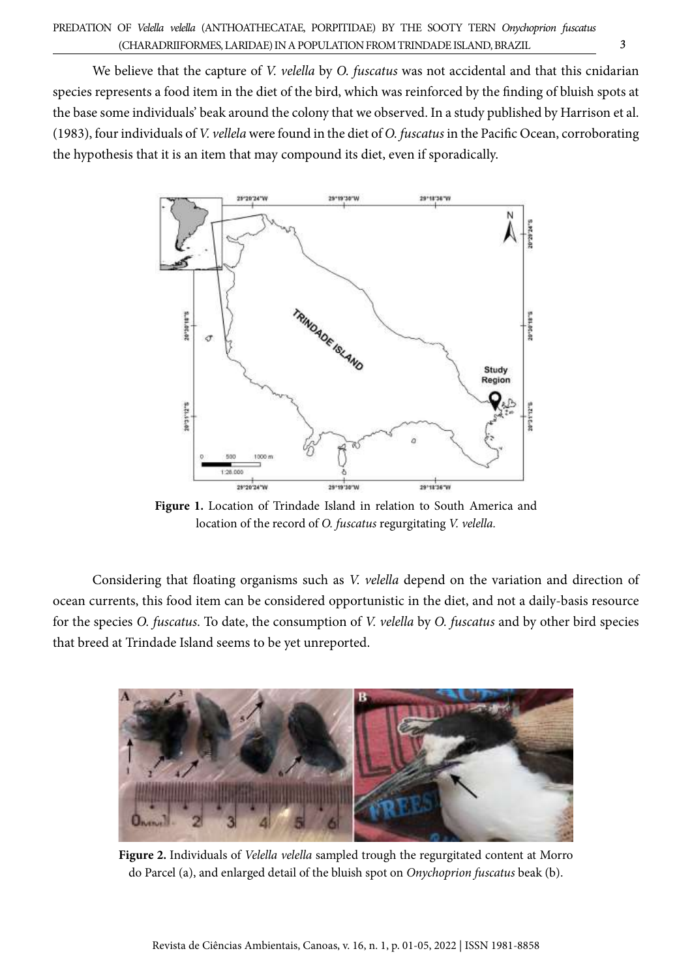We believe that the capture of V. velella by O. fuscatus was not accidental and that this cnidarian species represents a food item in the diet of the bird, which was reinforced by the finding of bluish spots at the base some individuals' beak around the colony that we observed. In a study published by Harrison et al. (1983), four individuals of V. vellela were found in the diet of O. fuscatus in the Pacific Ocean, corroborating the hypothesis that it is an item that may compound its diet, even if sporadically.



Figure 1. Location of Trindade Island in relation to South America and location of the record of O. fuscatus regurgitating V. velella.

Considering that floating organisms such as V. velella depend on the variation and direction of ocean currents, this food item can be considered opportunistic in the diet, and not a daily-basis resource for the species O. fuscatus. To date, the consumption of V. velella by O. fuscatus and by other bird species that breed at Trindade Island seems to be yet unreported.



Figure 2. Individuals of Velella velella sampled trough the regurgitated content at Morro do Parcel (a), and enlarged detail of the bluish spot on Onychoprion fuscatus beak (b).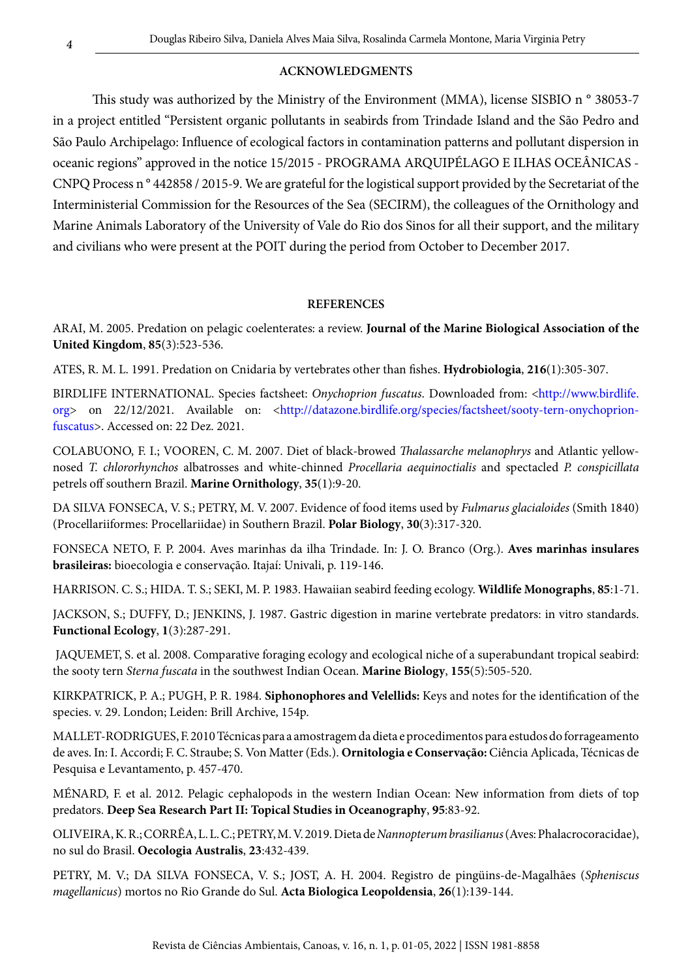# ACKNOWLEDGMENTS

This study was authorized by the Ministry of the Environment (MMA), license SISBIO n ° 38053-7 in a project entitled "Persistent organic pollutants in seabirds from Trindade Island and the São Pedro and São Paulo Archipelago: Influence of ecological factors in contamination patterns and pollutant dispersion in oceanic regions" approved in the notice 15/2015 - PROGRAMA ARQUIPÉLAGO E ILHAS OCEÂNICAS - CNPQ Process n ° 442858 / 2015-9. We are grateful for the logistical support provided by the Secretariat of the Interministerial Commission for the Resources of the Sea (SECIRM), the colleagues of the Ornithology and Marine Animals Laboratory of the University of Vale do Rio dos Sinos for all their support, and the military and civilians who were present at the POIT during the period from October to December 2017.

#### **REFERENCES**

ARAI, M. 2005. Predation on pelagic coelenterates: a review. Journal of the Marine Biological Association of the United Kingdom, 85(3):523-536.

ATES, R. M. L. 1991. Predation on Cnidaria by vertebrates other than fishes. Hydrobiologia, 216(1):305-307.

BIRDLIFE INTERNATIONAL. Species factsheet: Onychoprion fuscatus. Downloaded from: <http://www.birdlife. org> on 22/12/2021. Available on: <http://datazone.birdlife.org/species/factsheet/sooty-tern-onychoprionfuscatus>. Accessed on: 22 Dez. 2021.

COLABUONO, F. I.; VOOREN, C. M. 2007. Diet of black-browed Thalassarche melanophrys and Atlantic yellownosed T. chlororhynchos albatrosses and white-chinned Procellaria aequinoctialis and spectacled P. conspicillata petrels off southern Brazil. Marine Ornithology, 35(1):9-20.

DA SILVA FONSECA, V. S.; PETRY, M. V. 2007. Evidence of food items used by *Fulmarus glacialoides* (Smith 1840) (Procellariiformes: Procellariidae) in Southern Brazil. Polar Biology, 30(3):317-320.

FONSECA NETO, F. P. 2004. Aves marinhas da ilha Trindade. In: J. O. Branco (Org.). Aves marinhas insulares brasileiras: bioecologia e conservação. Itajaí: Univali, p. 119-146.

HARRISON. C. S.; HIDA. T. S.; SEKI, M. P. 1983. Hawaiian seabird feeding ecology. Wildlife Monographs, 85:1-71.

JACKSON, S.; DUFFY, D.; JENKINS, J. 1987. Gastric digestion in marine vertebrate predators: in vitro standards. Functional Ecology, 1(3):287-291.

 JAQUEMET, S. et al. 2008. Comparative foraging ecology and ecological niche of a superabundant tropical seabird: the sooty tern Sterna fuscata in the southwest Indian Ocean. Marine Biology, 155(5):505-520.

KIRKPATRICK, P. A.; PUGH, P. R. 1984. Siphonophores and Velellids: Keys and notes for the identification of the species. v. 29. London; Leiden: Brill Archive, 154p.

MALLET-RODRIGUES, F. 2010 Técnicas para a amostragem da dieta e procedimentos para estudos do forrageamento de aves. In: I. Accordi; F. C. Straube; S. Von Matter (Eds.). Ornitologia e Conservação: Ciência Aplicada, Técnicas de Pesquisa e Levantamento, p. 457-470.

MÉNARD, F. et al. 2012. Pelagic cephalopods in the western Indian Ocean: New information from diets of top predators. Deep Sea Research Part II: Topical Studies in Oceanography, 95:83-92.

OLIVEIRA, K. R.; CORRÊA, L. L. C.; PETRY, M. V. 2019. Dieta de Nannopterum brasilianus (Aves: Phalacrocoracidae), no sul do Brasil. Oecologia Australis, 23:432-439.

PETRY, M. V.; DA SILVA FONSECA, V. S.; JOST, A. H. 2004. Registro de pingüins-de-Magalhães (Spheniscus magellanicus) mortos no Rio Grande do Sul. Acta Biologica Leopoldensia, 26(1):139-144.